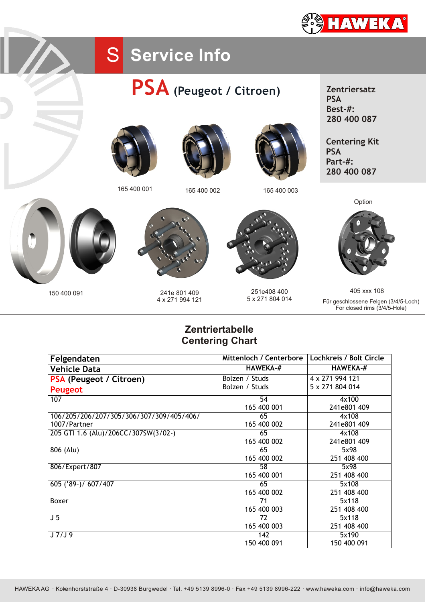

## S Service Info











165 400 001 165 400 002 165 400 003

**Zentriersatz PSA Best-#: 280 400 087**

**Centering Kit PSA Part-#: 280 400 087**





150 400 091 241e 801 409 4 x 271 994 121



251e408 400 5 x 271 804 014



405 xxx 108 Für geschlossene Felgen (3/4/5-Loch) For closed rims (3/4/5-Hole)

## **Zentriertabelle Centering Chart**

| Felgendaten                              | Mittenloch / Centerbore | Lochkreis / Bolt Circle |
|------------------------------------------|-------------------------|-------------------------|
| <b>Vehicle Data</b>                      | <b>HAWEKA-#</b>         | <b>HAWEKA-#</b>         |
| PSA (Peugeot / Citroen)                  | Bolzen / Studs          | 4 x 271 994 121         |
| <b>Peugeot</b>                           | Bolzen / Studs          | 5 x 271 804 014         |
| 107                                      | 54                      | 4x100                   |
|                                          | 165 400 001             | 241e801 409             |
| 106/205/206/207/305/306/307/309/405/406/ | 65                      | 4x108                   |
| 1007/Partner                             | 165 400 002             | 241e801 409             |
| 205 GTI 1.6 (Alu)/206CC/307SW(3/02-)     | 65                      | 4x108                   |
|                                          | 165 400 002             | 241e801 409             |
| 806 (Alu)                                | 65                      | 5x98                    |
|                                          | 165 400 002             | 251 408 400             |
| 806/Expert/807                           | 58                      | 5x98                    |
|                                          | 165 400 001             | 251 408 400             |
| 605 ('89-)/ 607/407                      | 65                      | 5x108                   |
|                                          | 165 400 002             | 251 408 400             |
| Boxer                                    | 71                      | 5x118                   |
|                                          | 165 400 003             | 251 408 400             |
| J <sub>5</sub>                           | 72                      | 5x118                   |
|                                          | 165 400 003             | 251 408 400             |
| J7/J9                                    | 142                     | 5x190                   |
|                                          | 150 400 091             | 150 400 091             |